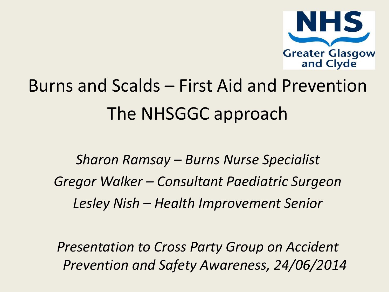

### Burns and Scalds – First Aid and Prevention The NHSGGC approach

*Sharon Ramsay – Burns Nurse Specialist Gregor Walker – Consultant Paediatric Surgeon Lesley Nish – Health Improvement Senior*

*Presentation to Cross Party Group on Accident Prevention and Safety Awareness, 24/06/2014*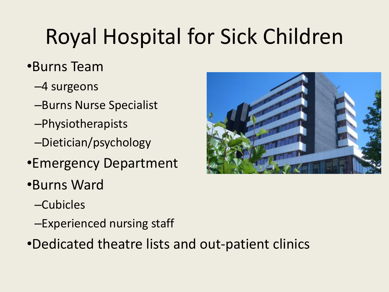# Royal Hospital for Sick Children

### •Burns Team

- –4 surgeons
- –Burns Nurse Specialist
- –Physiotherapists
- –Dietician/psychology
- •Emergency Department
- •Burns Ward
	- –Cubicles
	- –Experienced nursing staff
- •Dedicated theatre lists and out-patient clinics

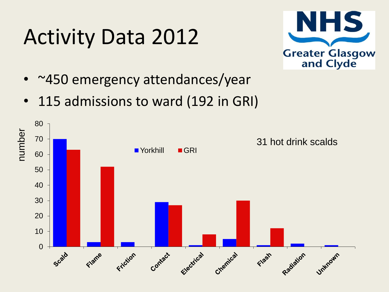### Activity Data 2012



- ~450 emergency attendances/year
- 115 admissions to ward (192 in GRI)

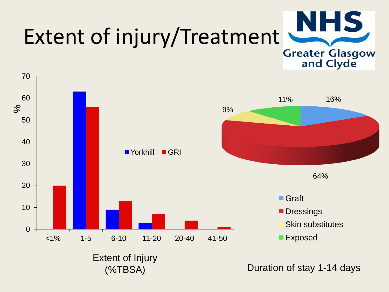

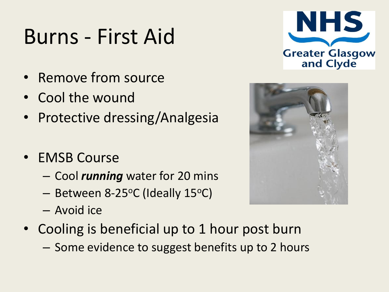### Burns - First Aid

- Remove from source
- Cool the wound
- Protective dressing/Analgesia
- EMSB Course
	- Cool *running* water for 20 mins
	- Between 8-25°C (Ideally 15°C)
	- Avoid ice
- Cooling is beneficial up to 1 hour post burn
	- Some evidence to suggest benefits up to 2 hours



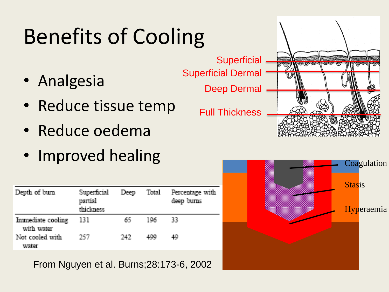# Benefits of Cooling

- Analgesia
- Reduce tissue temp
- Reduce oedema
- Improved healing

| Depth of burn                   | Superficial<br>partial<br>thickness | Deep | Total | Percentage with<br>deep burns |
|---------------------------------|-------------------------------------|------|-------|-------------------------------|
| Immediate cooling<br>with water | - 131                               | 65.  | -196  | -33                           |
| Not cooled with<br>water        | -257                                | 242. | 499   | 49                            |

From Nguyen et al. Burns;28:173-6, 2002



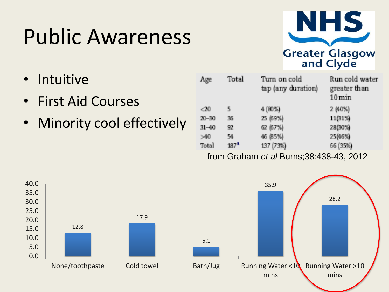### Public Awareness

- Intuitive
- First Aid Courses
- Minority cool effectively



| Age       | Total   | Turn on cold<br>tap (any duration) | Run cold water<br>greater than<br>$10$ min |
|-----------|---------|------------------------------------|--------------------------------------------|
| < 20      | 5.      | 4 (80%)                            | 2 (40%)                                    |
| $20 - 30$ | 36.     | 25 (69%)                           | 11(31%)                                    |
| $31 - 40$ | 92      | 62 (67%)                           | 28(30%)                                    |
| >40       | 54      | 46 (85%)                           | 25/46%                                     |
| Total     | $187^4$ | 137 (73%)                          | 66 (35%)                                   |

from Graham *et al* Burns;38:438-43, 2012

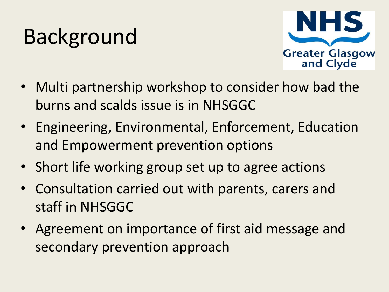# Background



- Multi partnership workshop to consider how bad the burns and scalds issue is in NHSGGC
- Engineering, Environmental, Enforcement, Education and Empowerment prevention options
- Short life working group set up to agree actions
- Consultation carried out with parents, carers and staff in NHSGGC
- Agreement on importance of first aid message and secondary prevention approach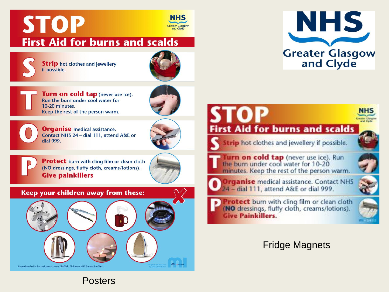#### **STOP** reater Glasgow **First Aid for burns and scalds**



**Strip** hot clothes and jewellery if possible.





Turn on cold tap (never use ice). Run the burn under cool water for 10-20 minutes. Keep the rest of the person warm.



**Organise** medical assistance. Contact NHS 24 - dial 111, attend A&E or dial 999.



**Protect** burn with cling film or clean cloth (NO dressings, fluffy cloth, creams/lotions). **Give painkillers** 

#### Keep your children away from these:



**NHS Greater Glasgow** and Clyde

### **STOP First Aid for burns and scalds**

Strip hot clothes and jewellery if possible.

Turn on cold tap (never use ice). Run the burn under cool water for 10-20 minutes. Keep the rest of the person warm.



**Protect** burn with cling film or clean cloth (NO dressings, fluffy cloth, creams/lotions). **Give Painkillers.** 

#### Fridge Magnets

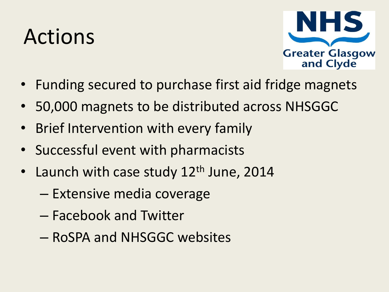### Actions



- Funding secured to purchase first aid fridge magnets
- 50,000 magnets to be distributed across NHSGGC
- Brief Intervention with every family
- Successful event with pharmacists
- Launch with case study  $12<sup>th</sup>$  June, 2014
	- Extensive media coverage
	- Facebook and Twitter
	- RoSPA and NHSGGC websites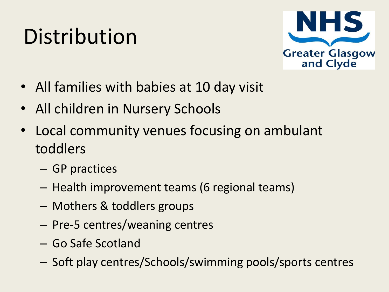### Distribution



- All families with babies at 10 day visit
- All children in Nursery Schools
- Local community venues focusing on ambulant toddlers
	- GP practices
	- Health improvement teams (6 regional teams)
	- Mothers & toddlers groups
	- Pre-5 centres/weaning centres
	- Go Safe Scotland
	- Soft play centres/Schools/swimming pools/sports centres